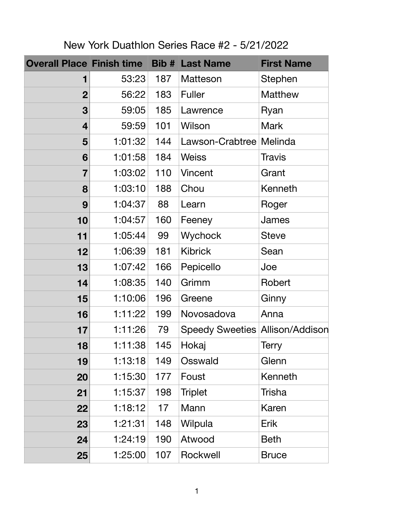| <b>Overall Place Finish time Bib # Last Name</b> |         |     |                                        | <b>First Name</b> |
|--------------------------------------------------|---------|-----|----------------------------------------|-------------------|
| 1                                                | 53:23   | 187 | Matteson                               | Stephen           |
| $\boldsymbol{2}$                                 | 56:22   | 183 | <b>Fuller</b>                          | <b>Matthew</b>    |
| 3                                                | 59:05   | 185 | Lawrence                               | Ryan              |
| $\overline{4}$                                   | 59:59   | 101 | Wilson                                 | <b>Mark</b>       |
| 5                                                | 1:01:32 | 144 | Lawson-Crabtree Melinda                |                   |
| 6                                                | 1:01:58 | 184 | <b>Weiss</b>                           | <b>Travis</b>     |
| 7                                                | 1:03:02 | 110 | Vincent                                | Grant             |
| 8                                                | 1:03:10 | 188 | Chou                                   | Kenneth           |
| 9                                                | 1:04:37 | 88  | Learn                                  | Roger             |
| 10                                               | 1:04:57 | 160 | Feeney                                 | James             |
| 11                                               | 1:05:44 | 99  | Wychock                                | <b>Steve</b>      |
| 12                                               | 1:06:39 | 181 | <b>Kibrick</b>                         | Sean              |
| 13                                               | 1:07:42 | 166 | Pepicello                              | Joe               |
| 14                                               | 1:08:35 | 140 | Grimm                                  | Robert            |
| 15                                               | 1:10:06 | 196 | Greene                                 | Ginny             |
| 16                                               | 1:11:22 | 199 | Novosadova                             | Anna              |
| 17                                               | 1:11:26 | 79  | <b>Speedy Sweeties Allison/Addison</b> |                   |
| 18                                               | 1:11:38 | 145 | Hokaj                                  | <b>Terry</b>      |
| 19                                               | 1:13:18 | 149 | Osswald                                | Glenn             |
| 20                                               | 1:15:30 | 177 | Foust                                  | Kenneth           |
| 21                                               | 1:15:37 | 198 | <b>Triplet</b>                         | <b>Trisha</b>     |
| 22                                               | 1:18:12 | 17  | Mann                                   | <b>Karen</b>      |
| 23                                               | 1:21:31 | 148 | Wilpula                                | <b>Erik</b>       |
| 24                                               | 1:24:19 | 190 | Atwood                                 | <b>Beth</b>       |
| 25                                               | 1:25:00 | 107 | Rockwell                               | <b>Bruce</b>      |

New York Duathlon Series Race #2 - 5/21/2022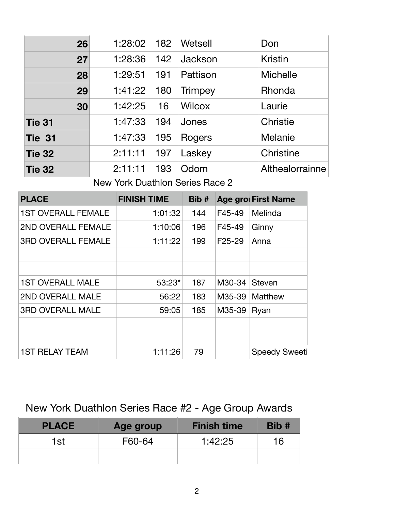| 26            | 1:28:02 | 182 | Wetsell        | Don              |
|---------------|---------|-----|----------------|------------------|
| 27            | 1:28:36 | 142 | Jackson        | <b>Kristin</b>   |
| 28            | 1:29:51 | 191 | Pattison       | <b>Michelle</b>  |
| 29            | 1:41:22 | 180 | <b>Trimpey</b> | Rhonda           |
| 30            | 1:42:25 | 16  | <b>Wilcox</b>  | Laurie           |
| <b>Tie 31</b> | 1:47:33 | 194 | Jones          | <b>Christie</b>  |
| <b>Tie 31</b> | 1:47:33 | 195 | Rogers         | Melanie          |
| <b>Tie 32</b> | 2:11:11 | 197 | Laskey         | <b>Christine</b> |
| <b>Tie 32</b> | 2:11:11 | 193 | Odom           | Althealorrainne  |

New York Duathlon Series Race 2

| <b>PLACE</b>              | <b>FINISH TIME</b> | Bib# |                     | <b>Age grou First Name</b> |
|---------------------------|--------------------|------|---------------------|----------------------------|
| <b>1ST OVERALL FEMALE</b> | 1:01:32            | 144  | F45-49              | Melinda                    |
| 2ND OVERALL FEMALE        | 1:10:06            | 196  | F45-49              | Ginny                      |
| <b>3RD OVERALL FEMALE</b> | 1:11:22            | 199  | F <sub>25</sub> -29 | Anna                       |
|                           |                    |      |                     |                            |
|                           |                    |      |                     |                            |
| <b>1ST OVERALL MALE</b>   | $53:23*$           | 187  | M30-34              | <b>Steven</b>              |
| 2ND OVERALL MALE          | 56:22              | 183  | M35-39              | <b>Matthew</b>             |
| <b>3RD OVERALL MALE</b>   | 59:05              | 185  | M35-39              | Ryan                       |
|                           |                    |      |                     |                            |
|                           |                    |      |                     |                            |
| <b>1ST RELAY TEAM</b>     | 1:11:26            | 79   |                     | <b>Speedy Sweeti</b>       |

## New York Duathlon Series Race #2 - Age Group Awards

| <b>PLACE</b> | Age group | <b>Finish time</b> | Bib # |
|--------------|-----------|--------------------|-------|
| 1st          | F60-64    | 1:42:25            | 16    |
|              |           |                    |       |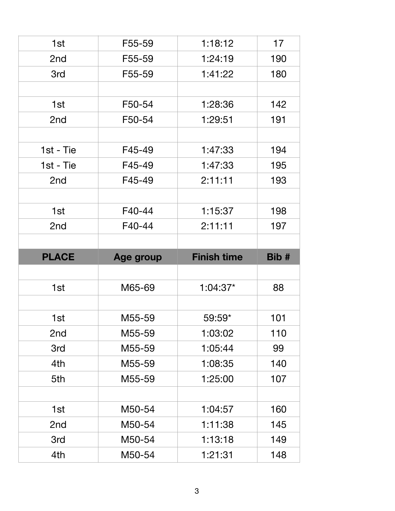| 1st          | F55-59    | 1:18:12            | 17    |
|--------------|-----------|--------------------|-------|
| 2nd          | F55-59    | 1:24:19            | 190   |
| 3rd          | F55-59    | 1:41:22            | 180   |
|              |           |                    |       |
| 1st          | F50-54    | 1:28:36            | 142   |
| 2nd          | F50-54    | 1:29:51            | 191   |
|              |           |                    |       |
| 1st - Tie    | F45-49    | 1:47:33            | 194   |
| $1st - Tie$  | F45-49    | 1:47:33            | 195   |
| 2nd          | F45-49    | 2:11:11            | 193   |
|              |           |                    |       |
| 1st          | F40-44    | 1:15:37            | 198   |
| 2nd          | F40-44    | 2:11:11            | 197   |
|              |           |                    |       |
|              |           |                    |       |
| <b>PLACE</b> | Age group | <b>Finish time</b> | Bib # |
|              |           |                    |       |
| 1st          | M65-69    | $1:04:37*$         | 88    |
|              |           |                    |       |
| 1st          | M55-59    | 59:59*             | 101   |
| 2nd          | M55-59    | 1:03:02            | 110   |
| 3rd          | M55-59    | 1:05:44            | 99    |
| 4th          | M55-59    | 1:08:35            | 140   |
| 5th          | M55-59    | 1:25:00            | 107   |
|              |           |                    |       |
| 1st          | M50-54    | 1:04:57            | 160   |
| 2nd          | M50-54    | 1:11:38            | 145   |
| 3rd          | M50-54    | 1:13:18            | 149   |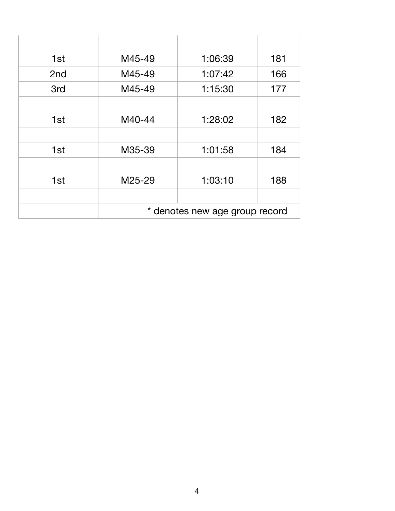| 1st | M45-49                         | 1:06:39 | 181 |
|-----|--------------------------------|---------|-----|
| 2nd | M45-49                         | 1:07:42 | 166 |
| 3rd | M45-49                         | 1:15:30 | 177 |
|     |                                |         |     |
| 1st | M40-44                         | 1:28:02 | 182 |
|     |                                |         |     |
| 1st | M35-39                         | 1:01:58 | 184 |
|     |                                |         |     |
| 1st | M25-29                         | 1:03:10 | 188 |
|     |                                |         |     |
|     | * denotes new age group record |         |     |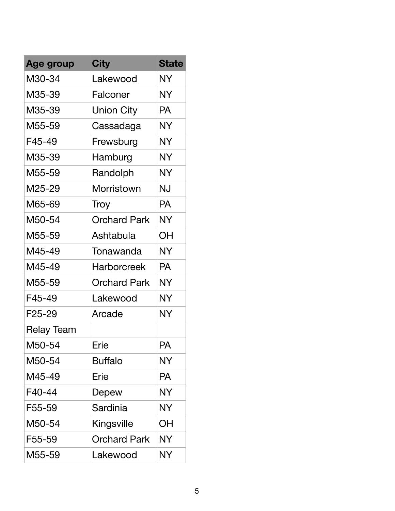| <b>Age group</b>  | <b>City</b>         | <b>State</b> |
|-------------------|---------------------|--------------|
| M30-34            | Lakewood            | <b>NY</b>    |
| M35-39            | Falconer            | <b>NY</b>    |
| M35-39            | <b>Union City</b>   | <b>PA</b>    |
| M55-59            | Cassadaga           | NY.          |
| F45-49            | Frewsburg           | <b>NY</b>    |
| M35-39            | Hamburg             | <b>NY</b>    |
| M55-59            | Randolph            | <b>NY</b>    |
| M25-29            | Morristown          | NJ           |
| M65-69            | Troy                | <b>PA</b>    |
| M50-54            | <b>Orchard Park</b> | <b>NY</b>    |
| M55-59            | Ashtabula           | ΟH           |
| M45-49            | Tonawanda           | NY           |
| M45-49            | <b>Harborcreek</b>  | PA           |
| M55-59            | Orchard Park        | <b>NY</b>    |
| F45-49            | Lakewood            | <b>NY</b>    |
| F25-29            | Arcade              | <b>NY</b>    |
| <b>Relay Team</b> |                     |              |
| M50-54            | Erie                | <b>PA</b>    |
| M50-54            | Buffalo             | <b>NY</b>    |
| M45-49            | Erie                | <b>PA</b>    |
| F40-44            | Depew               | <b>NY</b>    |
| F55-59            | Sardinia            | <b>NY</b>    |
| M50-54            | Kingsville          | ΟH           |
| F55-59            | Orchard Park        | <b>NY</b>    |
| M55-59            | Lakewood            | <b>NY</b>    |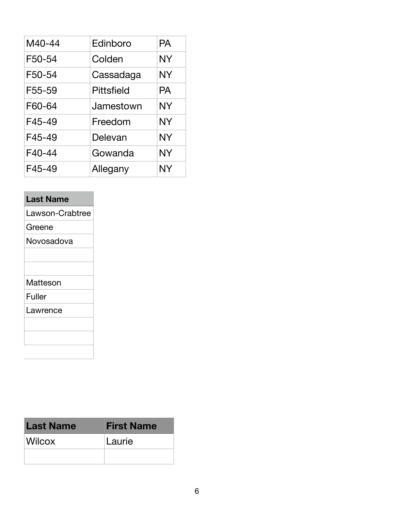| M40-44 | Edinboro          | PA        |
|--------|-------------------|-----------|
| F50-54 | Colden            | <b>NY</b> |
| F50-54 | Cassadaga         | <b>NY</b> |
| F55-59 | <b>Pittsfield</b> | <b>PA</b> |
| F60-64 | Jamestown         | <b>NY</b> |
| F45-49 | Freedom           | <b>NY</b> |
| F45-49 | Delevan           | <b>NY</b> |
| F40-44 | Gowanda           | <b>NY</b> |
| F45-49 | Allegany          | <b>NY</b> |

## **Last Name**

Lawson-Crabtree

Greene

Novosadova

## Matteson

Fuller

Lawrence

| <b>Last Name</b> | <b>First Name</b> |
|------------------|-------------------|
| <b>Wilcox</b>    | Laurie            |
|                  |                   |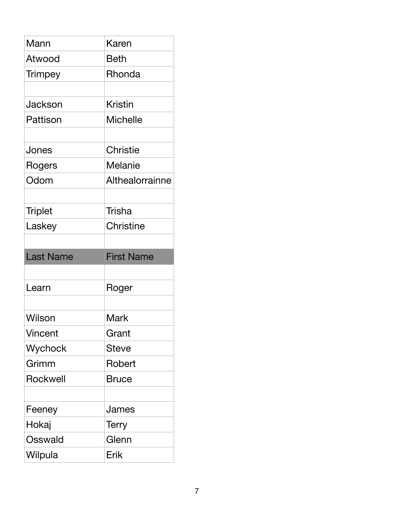| Mann           | Karen             |
|----------------|-------------------|
| Atwood         | Beth              |
| <b>Trimpey</b> | Rhonda            |
| Jackson        | Kristin           |
| Pattison       | <b>Michelle</b>   |
|                |                   |
| Jones          | <b>Christie</b>   |
| Rogers         | <b>Melanie</b>    |
| Odom           | Althealorrainne   |
|                |                   |
| <b>Triplet</b> | Trisha            |
| Laskey         | Christine         |
|                |                   |
|                |                   |
| Last Name      | <b>First Name</b> |
|                |                   |
| Learn          | Roger             |
|                |                   |
| Wilson         | Mark              |
| Vincent        | Grant             |
| Wychock        | <b>Steve</b>      |
| Grimm          | Robert            |
| Rockwell       | Bruce             |
|                |                   |
| Feeney         | James             |
| Hokaj          | <b>Terry</b>      |
| Osswald        | Glenn             |